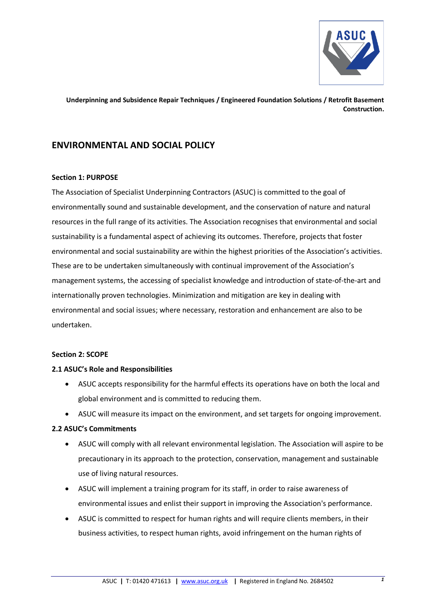

# **ENVIRONMENTAL AND SOCIAL POLICY**

## **Section 1: PURPOSE**

The Association of Specialist Underpinning Contractors (ASUC) is committed to the goal of environmentally sound and sustainable development, and the conservation of nature and natural resources in the full range of its activities. The Association recognises that environmental and social sustainability is a fundamental aspect of achieving its outcomes. Therefore, projects that foster environmental and social sustainability are within the highest priorities of the Association's activities. These are to be undertaken simultaneously with continual improvement of the Association's management systems, the accessing of specialist knowledge and introduction of state-of-the-art and internationally proven technologies. Minimization and mitigation are key in dealing with environmental and social issues; where necessary, restoration and enhancement are also to be undertaken.

## **Section 2: SCOPE**

## **2.1 ASUC's Role and Responsibilities**

- ASUC accepts responsibility for the harmful effects its operations have on both the local and global environment and is committed to reducing them.
- ASUC will measure its impact on the environment, and set targets for ongoing improvement.

## **2.2 ASUC's Commitments**

- ASUC will comply with all relevant environmental legislation. The Association will aspire to be precautionary in its approach to the protection, conservation, management and sustainable use of living natural resources.
- ASUC will implement a training program for its staff, in order to raise awareness of environmental issues and enlist their support in improving the Association's performance.
- ASUC is committed to respect for human rights and will require clients members, in their business activities, to respect human rights, avoid infringement on the human rights of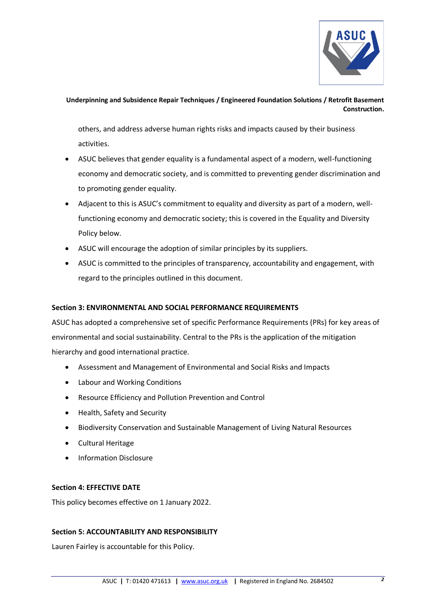

others, and address adverse human rights risks and impacts caused by their business activities.

- ASUC believes that gender equality is a fundamental aspect of a modern, well-functioning economy and democratic society, and is committed to preventing gender discrimination and to promoting gender equality.
- Adjacent to this is ASUC's commitment to equality and diversity as part of a modern, wellfunctioning economy and democratic society; this is covered in the Equality and Diversity Policy below.
- ASUC will encourage the adoption of similar principles by its suppliers.
- ASUC is committed to the principles of transparency, accountability and engagement, with regard to the principles outlined in this document.

# **Section 3: ENVIRONMENTAL AND SOCIAL PERFORMANCE REQUIREMENTS**

ASUC has adopted a comprehensive set of specific Performance Requirements (PRs) for key areas of environmental and social sustainability. Central to the PRs is the application of the mitigation hierarchy and good international practice.

- Assessment and Management of Environmental and Social Risks and Impacts
- Labour and Working Conditions
- Resource Efficiency and Pollution Prevention and Control
- Health, Safety and Security
- Biodiversity Conservation and Sustainable Management of Living Natural Resources
- Cultural Heritage
- Information Disclosure

# **Section 4: EFFECTIVE DATE**

This policy becomes effective on 1 January 2022.

# **Section 5: ACCOUNTABILITY AND RESPONSIBILITY**

Lauren Fairley is accountable for this Policy.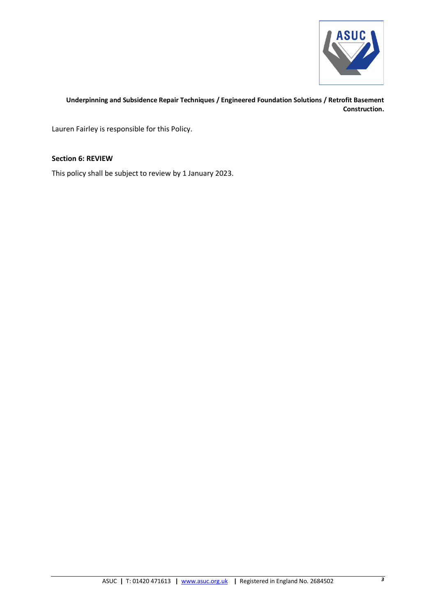

Lauren Fairley is responsible for this Policy.

## **Section 6: REVIEW**

This policy shall be subject to review by 1 January 2023.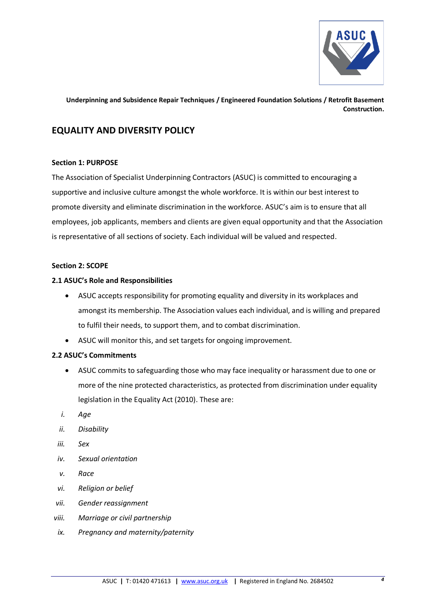

# **EQUALITY AND DIVERSITY POLICY**

## **Section 1: PURPOSE**

The Association of Specialist Underpinning Contractors (ASUC) is committed to encouraging a supportive and inclusive culture amongst the whole workforce. It is within our best interest to promote diversity and eliminate discrimination in the workforce. ASUC's aim is to ensure that all employees, job applicants, members and clients are given equal opportunity and that the Association is representative of all sections of society. Each individual will be valued and respected.

## **Section 2: SCOPE**

## **2.1 ASUC's Role and Responsibilities**

- ASUC accepts responsibility for promoting equality and diversity in its workplaces and amongst its membership. The Association values each individual, and is willing and prepared to fulfil their needs, to support them, and to combat discrimination.
- ASUC will monitor this, and set targets for ongoing improvement.

# **2.2 ASUC's Commitments**

- ASUC commits to safeguarding those who may face inequality or harassment due to one or more of the nine protected characteristics, as protected from discrimination under equality legislation in the Equality Act (2010). These are:
- *i. Age*
- *ii. Disability*
- *iii. Sex*
- *iv. Sexual orientation*
- *v. Race*
- *vi. Religion or belief*
- *vii. Gender reassignment*
- *viii. Marriage or civil partnership*
- *ix. Pregnancy and maternity/paternity*